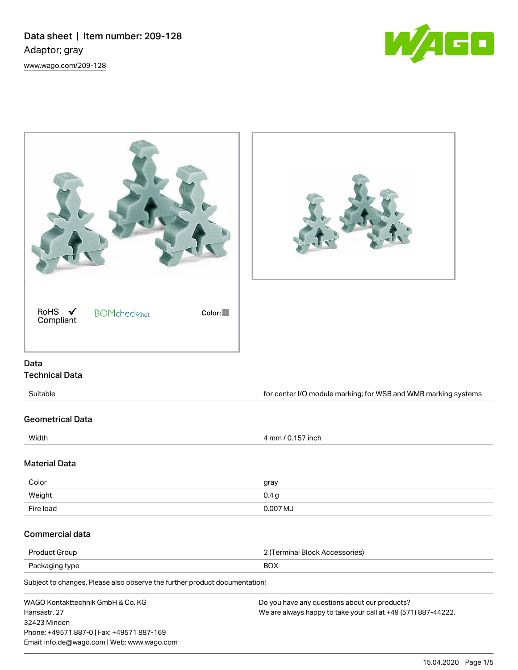Data sheet | Item number: 209-128 Adaptor; gray [www.wago.com/209-128](http://www.wago.com/209-128)





Email: info.de@wago.com | Web: www.wago.com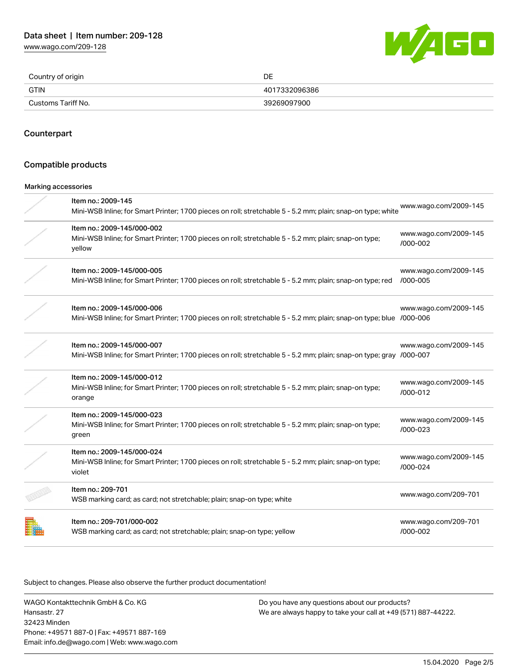[www.wago.com/209-128](http://www.wago.com/209-128)



| Country of origin  | DE            |
|--------------------|---------------|
| GTIN               | 4017332096386 |
| Customs Tariff No. | 39269097900   |

#### Counterpart

### Compatible products

### Marking accessories

| Item no.: 2009-145<br>Mini-WSB Inline; for Smart Printer; 1700 pieces on roll; stretchable 5 - 5.2 mm; plain; snap-on type; white                 | www.wago.com/2009-145             |
|---------------------------------------------------------------------------------------------------------------------------------------------------|-----------------------------------|
| Item no.: 2009-145/000-002<br>Mini-WSB Inline; for Smart Printer; 1700 pieces on roll; stretchable 5 - 5.2 mm; plain; snap-on type;<br>yellow     | www.wago.com/2009-145<br>/000-002 |
| Item no.: 2009-145/000-005<br>Mini-WSB Inline; for Smart Printer; 1700 pieces on roll; stretchable 5 - 5.2 mm; plain; snap-on type; red           | www.wago.com/2009-145<br>/000-005 |
| Item no.: 2009-145/000-006<br>Mini-WSB Inline; for Smart Printer; 1700 pieces on roll; stretchable 5 - 5.2 mm; plain; snap-on type; blue /000-006 | www.wago.com/2009-145             |
| Item no.: 2009-145/000-007<br>Mini-WSB Inline; for Smart Printer; 1700 pieces on roll; stretchable 5 - 5.2 mm; plain; snap-on type; gray /000-007 | www.wago.com/2009-145             |
| Item no.: 2009-145/000-012<br>Mini-WSB Inline; for Smart Printer; 1700 pieces on roll; stretchable 5 - 5.2 mm; plain; snap-on type;<br>orange     | www.wago.com/2009-145<br>/000-012 |
| Item no.: 2009-145/000-023<br>Mini-WSB Inline; for Smart Printer; 1700 pieces on roll; stretchable 5 - 5.2 mm; plain; snap-on type;<br>green      | www.wago.com/2009-145<br>/000-023 |
| Item no.: 2009-145/000-024<br>Mini-WSB Inline; for Smart Printer; 1700 pieces on roll; stretchable 5 - 5.2 mm; plain; snap-on type;<br>violet     | www.wago.com/2009-145<br>/000-024 |
| Item no.: 209-701<br>WSB marking card; as card; not stretchable; plain; snap-on type; white                                                       | www.wago.com/209-701              |
| Item no.: 209-701/000-002<br>WSB marking card; as card; not stretchable; plain; snap-on type; yellow                                              | www.wago.com/209-701<br>/000-002  |

Subject to changes. Please also observe the further product documentation!

WAGO Kontakttechnik GmbH & Co. KG Hansastr. 27 32423 Minden Phone: +49571 887-0 | Fax: +49571 887-169 Email: info.de@wago.com | Web: www.wago.com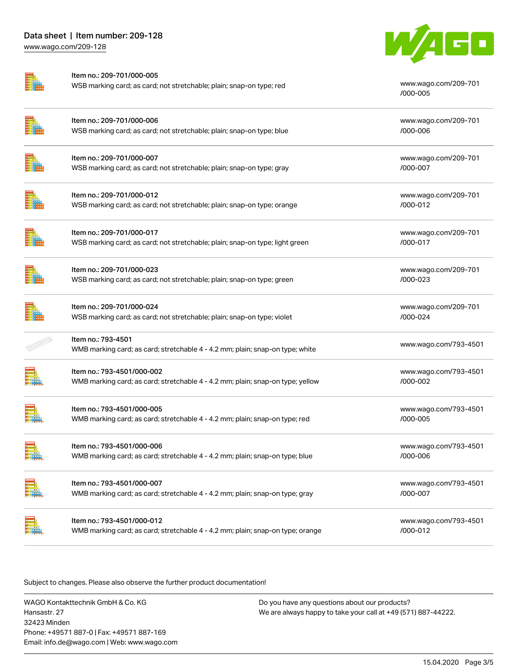| Item no.: 209-701/000-005<br>WSB marking card; as card; not stretchable; plain; snap-on type; red            | www.wago.com/209-701<br>/000-005  |
|--------------------------------------------------------------------------------------------------------------|-----------------------------------|
| Item no.: 209-701/000-006<br>WSB marking card; as card; not stretchable; plain; snap-on type; blue           | www.wago.com/209-701<br>/000-006  |
| Item no.: 209-701/000-007<br>WSB marking card; as card; not stretchable; plain; snap-on type; gray           | www.wago.com/209-701<br>/000-007  |
| Item no.: 209-701/000-012<br>WSB marking card; as card; not stretchable; plain; snap-on type; orange         | www.wago.com/209-701<br>/000-012  |
| Item no.: 209-701/000-017<br>WSB marking card; as card; not stretchable; plain; snap-on type; light green    | www.wago.com/209-701<br>/000-017  |
| Item no.: 209-701/000-023<br>WSB marking card; as card; not stretchable; plain; snap-on type; green          | www.wago.com/209-701<br>/000-023  |
| Item no.: 209-701/000-024<br>WSB marking card; as card; not stretchable; plain; snap-on type; violet         | www.wago.com/209-701<br>/000-024  |
| Item no.: 793-4501<br>WMB marking card; as card; stretchable 4 - 4.2 mm; plain; snap-on type; white          | www.wago.com/793-4501             |
| Item no.: 793-4501/000-002<br>WMB marking card; as card; stretchable 4 - 4.2 mm; plain; snap-on type; yellow | www.wago.com/793-4501<br>/000-002 |
| Item no.: 793-4501/000-005<br>WMB marking card; as card; stretchable 4 - 4.2 mm; plain; snap-on type; red    | www.wago.com/793-4501<br>/000-005 |
| Item no.: 793-4501/000-006<br>WMB marking card; as card; stretchable 4 - 4.2 mm; plain; snap-on type; blue   | www.wago.com/793-4501<br>/000-006 |
| Item no.: 793-4501/000-007<br>WMB marking card; as card; stretchable 4 - 4.2 mm; plain; snap-on type; gray   | www.wago.com/793-4501<br>/000-007 |
| Item no.: 793-4501/000-012<br>WMB marking card; as card; stretchable 4 - 4.2 mm; plain; snap-on type; orange | www.wago.com/793-4501<br>/000-012 |

Subject to changes. Please also observe the further product documentation!

WAGO Kontakttechnik GmbH & Co. KG Hansastr. 27 32423 Minden Phone: +49571 887-0 | Fax: +49571 887-169 Email: info.de@wago.com | Web: www.wago.com

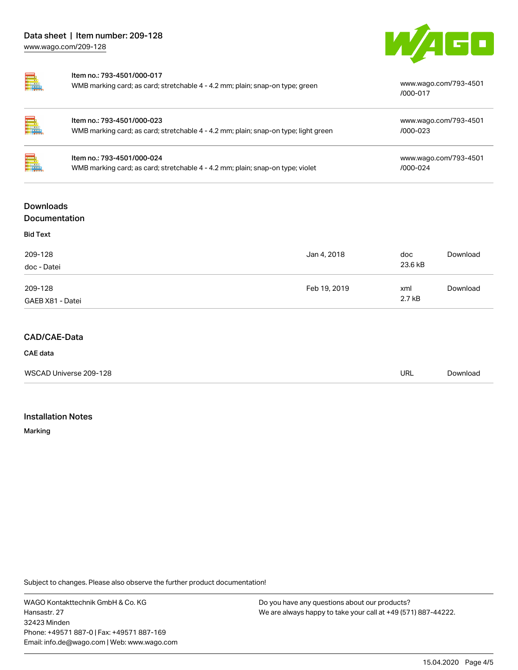



| Item no.: 793-4501/000-017                                                    |                                   |
|-------------------------------------------------------------------------------|-----------------------------------|
| WMB marking card; as card; stretchable 4 - 4.2 mm; plain; snap-on type; green | www.wago.com/793-4501<br>/000-017 |
|                                                                               |                                   |

| $\equiv$ | Item no.: 793-4501/000-023<br>WMB marking card; as card; stretchable 4 - 4.2 mm; plain; snap-on type; light green | www.wago.com/793-4501<br>/000-023     |
|----------|-------------------------------------------------------------------------------------------------------------------|---------------------------------------|
| $\Box$   | Item no.: 793-4501/000-024<br>WMB marking card; as card; stretchable 4 - 4.2 mm; plain; snap-on type; violet      | www.wago.com/793-4501<br>$/000 - 024$ |

# Downloads Documentation

| <b>Bid Text</b>        |              |                |          |
|------------------------|--------------|----------------|----------|
| 209-128<br>doc - Datei | Jan 4, 2018  | doc<br>23.6 kB | Download |
| 209-128                | Feb 19, 2019 | xml            | Download |
| GAEB X81 - Datei       |              | 2.7 kB         |          |

# CAD/CAE-Data

### CAE data

| WSCAD Universe 209-128 | URL | Download |
|------------------------|-----|----------|
|                        |     |          |

# Installation Notes

Marking

Subject to changes. Please also observe the further product documentation!

WAGO Kontakttechnik GmbH & Co. KG Hansastr. 27 32423 Minden Phone: +49571 887-0 | Fax: +49571 887-169 Email: info.de@wago.com | Web: www.wago.com